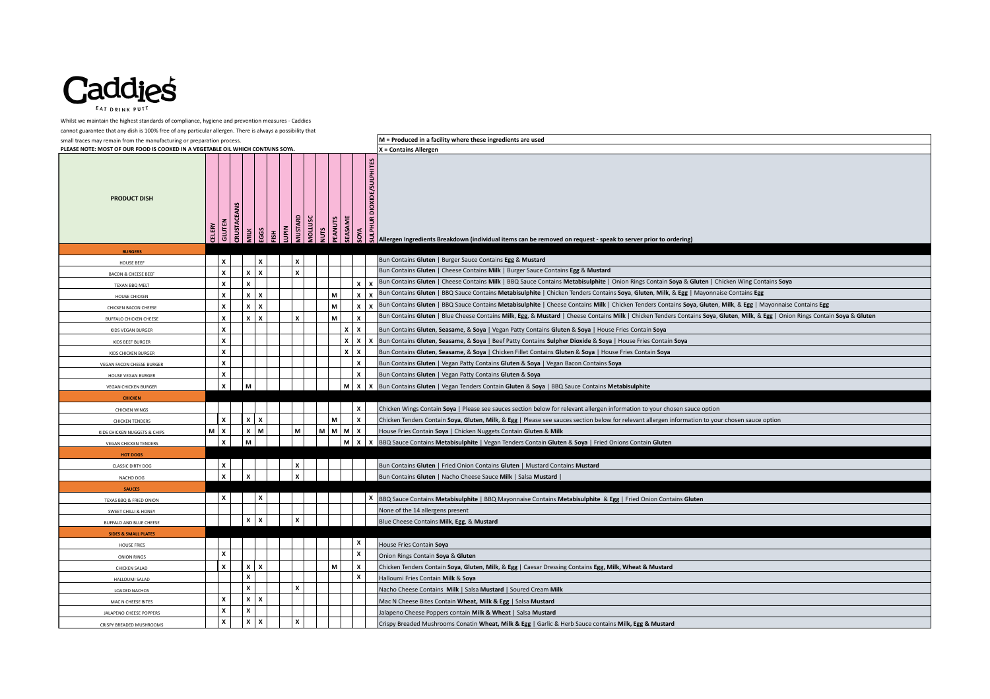

Whilst we maintain the highest standards of compliance, hygiene and prevention measures - Caddies

cannot guarantee that any dish is 100% free of any particular allergen. There is always a possibility that

small traces may remain from the manufacturing or preparation process. **M = Produced in a facility where these ingredients are used**

**PLEASE NOTE: MOST OF OUR FOOD IS COOKED IN A VEGETABLE OIL WHICH CONTAINS SOYA. X = Contains Allergen PRODUCT DISH CELERY GLUTEN CRUSTACEANS MILK EGGS FISH LUPIN MUSTARD MOLLUSC NUTS PEANUTS SEASAME SULPHITES**<br>SOCIES<br>SO BITES<br>SORIES Allergen Ingredients Breakdown (individual items can be removed on request - speak to server prior to ordering) **BURGERS** HOUSE BEEF **X X X** Bun Contains **Gluten** | Burger Sauce Contains **Egg** & **Mustard** BACON & CHEESE BEEF **X X X X** Bun Contains **Gluten** | Cheese Contains **Milk** | Burger Sauce Contains **Egg** & **Mustard** TEXAN BBQ MELT **X X X X** Bun Contains **Gluten** | Cheese Contains **Milk** | BBQ Sauce Contains **Metabisulphite** | Onion Rings Contain **Soya** & **Gluten** | Chicken Wing Contains **Soya HOUSE CHICKEN X X X X X X X M M X** Bun Contains **Gluten** | BBQ Sauce Contains **Metabisulphite** | Chicken Tenders Contains **Soya**, **Gluten**, **Milk**, & **Egg** | Mayonnaise Contains **Egg** CHICKEN BACON CHEESE **X**  $\mathbf{x}$  **X**  $\mathbf{x}$  **M**  $\mathbf{x}$  **M**  $\mathbf{x}$  **X**  $\mathbf{x}$ Bun Contains **Gluten** | BBQ Sauce Contains **Metabisulphite** | Cheese Contains **Milk** | Chicken Tenders Contains **Soya**, **Gluten**, **Milk**, & **Egg** | Mayonnaise Contains **Egg** BUFFALO CHICKEN CHEESE **X**  $\begin{bmatrix} \mathbf{x} & \mathbf{x} \\ \mathbf{x} & \mathbf{x} \end{bmatrix}$   $\begin{bmatrix} \mathbf{x} & \mathbf{x} \\ \mathbf{x} & \mathbf{x} \end{bmatrix}$   $\begin{bmatrix} \mathbf{x} & \mathbf{x} \\ \mathbf{x} & \mathbf{x} \end{bmatrix}$   $\begin{bmatrix} \mathbf{x} & \mathbf{x} \\ \mathbf{x} & \mathbf{x} \end{bmatrix}$ Bun Contains Gluten | Blue Cheese Contains Milk, Egg, & Mustard | Cheese Contains Milk | Chicken Tenders Contains Soya, Gluten, Milk, & Egg | Onion Rings Contain Soya & Gluten KIDS VEGAN BURGER **X X X** Bun Contains **Gluten**, **Seasame**, & **Soya** | Vegan Patty Contains **Gluten** & **Soya** | House Fries Contain **Soya** KIDS BEEF BURGER **X X X X** Bun Contains **Gluten**, **Seasame**, & **Soya** | Beef Patty Contains **Sulpher Dioxide** & **Soya** | House Fries Contain **Soya** KIDS CHICKEN BURGER **X X X** Bun Contains **Gluten**, **Seasame**, & **Soya** | Chicken Fillet Contains **Gluten** & **Soya** | House Fries Contain **Soya** VEGAN FACON CHEESE BURGER **X X** Bun Contains **Gluten** | Vegan Patty Contains **Gluten** & **Soya** | Vegan Bacon Contains **Soya** HOUSE VEGAN BURGER **X X** Bun Contains **Gluten** | Vegan Patty Contains **Gluten** & **Soya** VEGAN CHICKEN BURGER **X M M X X** Bun Contains **Gluten** | Vegan Tenders Contain **Gluten** & **Soya** | BBQ Sauce Contains **Metabisulphite CHICKEN** CHICKEN WINGS **X** Chicken Wings Contain **Soya** | Please see sauces section below for relevant allergen information to your chosen sauce option CHICKEN TENDERS TRIM TENDERS TRIM THE REVIS ON TENDERS (CHICKEN TENDER SCONTAIN SOVER, GILLER, MIIK, & Egg | Please see sauces section below for relevant allergen information to your chosen sauce option KIDS CHICKEN NUGGETS & CHIPS **M X X M M M M M X** House Fries Contain **Soya** | Chicken Nuggets Contain **Gluten** & **Milk**  VEGAN CHICKEN TENDERS **M M M M M M M X B BBQ** Sauce Contains **Metabisulphite** | Vegan Tenders Contain **Gluten & Soya** | Fried Onions Contain Gluten **HOT DOG** CLASSIC DIRTY DOG **X X** Bun Contains **Gluten** | Fried Onion Contains **Gluten** | Mustard Contains **Mustard** NACHO DOG **X** | | | | | | | | | | | | | | | Bun Contains Gluten | Nacho Cheese Sauce Milk | Salsa Mustard | **SAUCES** TEXAS BBQ SAUCE CONION **X** X BBQ Sauce Contains **Metabisulphite** | BBQ Mayonnaise Contains **Metabisulphite & Egg** | Fried Onion Contains Gluten SWEET CHILLI & HONEY **None of the 14 allergens present** BUFFALO AND BLUE CHEESE **X X X** Blue Cheese Contains **Milk**, **Egg**, & **Mustard SIDES & SMALL PLATES** HOUSE FRIES **X** House Fries Contain **Soya** ONION RINGS **X X** Onion Rings Contain **Soya** & **Gluten** CHICKEN SALAD **X X X M X** Chicken Tenders Contain **Soya**, **Gluten**, **Milk**, & **Egg** | Caesar Dressing Contains **Egg, Milk, Wheat & Mustard** HALLOUMI SALAD **X X** Halloumi Fries Contain **Milk** & **Soya** LOADED NACHOS **X X** Nacho Cheese Contains **Milk** | Salsa **Mustard** | Soured Cream **Milk**  MAC N CHEESE BITES BITES **X X X X X X** Mac N Cheese Bites Contain **Wheat, Milk & Egg** | Salsa **Mustard** JALAPENO CHEESE POPPERS **X X** Jalapeno Cheese Poppers contain **Milk & Wheat** | Salsa **Mustard** CRISPY BREADED MUSHROOMS **X X X X** Crispy Breaded Mushrooms Conatin **Wheat, Milk & Egg** | Garlic & Herb Sauce contains **Milk, Egg & Mustard**